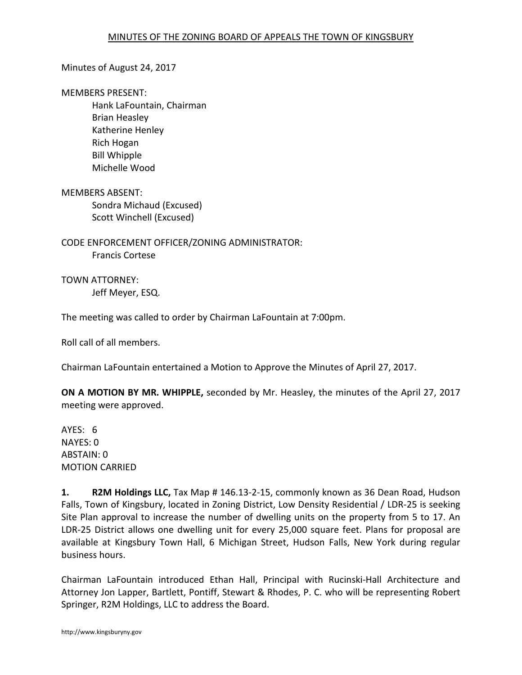## Minutes of August 24, 2017

#### MEMBERS PRESENT:

 Hank LaFountain, Chairman Brian Heasley Katherine Henley Rich Hogan Bill Whipple Michelle Wood

MEMBERS ABSENT: Sondra Michaud (Excused) Scott Winchell (Excused)

CODE ENFORCEMENT OFFICER/ZONING ADMINISTRATOR: Francis Cortese

TOWN ATTORNEY: Jeff Meyer, ESQ.

The meeting was called to order by Chairman LaFountain at 7:00pm.

Roll call of all members.

Chairman LaFountain entertained a Motion to Approve the Minutes of April 27, 2017.

**ON A MOTION BY MR. WHIPPLE,** seconded by Mr. Heasley, the minutes of the April 27, 2017 meeting were approved.

AYES: 6 NAYES: 0 ABSTAIN: 0 MOTION CARRIED

**1. R2M Holdings LLC,** Tax Map # 146.13-2-15, commonly known as 36 Dean Road, Hudson Falls, Town of Kingsbury, located in Zoning District, Low Density Residential / LDR-25 is seeking Site Plan approval to increase the number of dwelling units on the property from 5 to 17. An LDR-25 District allows one dwelling unit for every 25,000 square feet. Plans for proposal are available at Kingsbury Town Hall, 6 Michigan Street, Hudson Falls, New York during regular business hours.

Chairman LaFountain introduced Ethan Hall, Principal with Rucinski-Hall Architecture and Attorney Jon Lapper, Bartlett, Pontiff, Stewart & Rhodes, P. C. who will be representing Robert Springer, R2M Holdings, LLC to address the Board.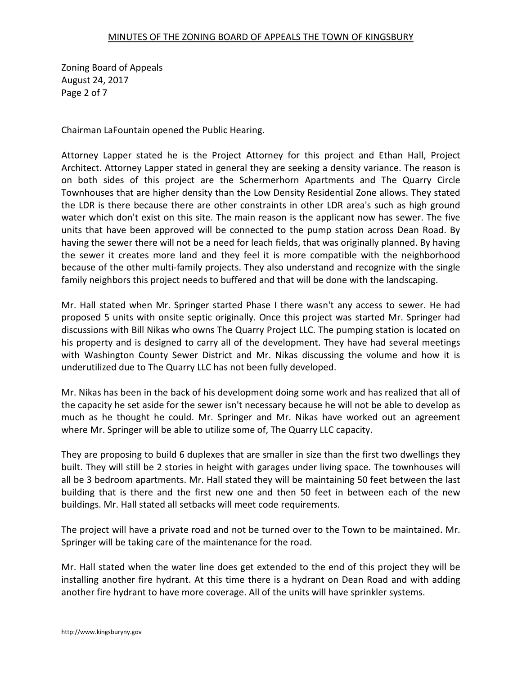Zoning Board of Appeals August 24, 2017 Page 2 of 7

Chairman LaFountain opened the Public Hearing.

Attorney Lapper stated he is the Project Attorney for this project and Ethan Hall, Project Architect. Attorney Lapper stated in general they are seeking a density variance. The reason is on both sides of this project are the Schermerhorn Apartments and The Quarry Circle Townhouses that are higher density than the Low Density Residential Zone allows. They stated the LDR is there because there are other constraints in other LDR area's such as high ground water which don't exist on this site. The main reason is the applicant now has sewer. The five units that have been approved will be connected to the pump station across Dean Road. By having the sewer there will not be a need for leach fields, that was originally planned. By having the sewer it creates more land and they feel it is more compatible with the neighborhood because of the other multi-family projects. They also understand and recognize with the single family neighbors this project needs to buffered and that will be done with the landscaping.

Mr. Hall stated when Mr. Springer started Phase I there wasn't any access to sewer. He had proposed 5 units with onsite septic originally. Once this project was started Mr. Springer had discussions with Bill Nikas who owns The Quarry Project LLC. The pumping station is located on his property and is designed to carry all of the development. They have had several meetings with Washington County Sewer District and Mr. Nikas discussing the volume and how it is underutilized due to The Quarry LLC has not been fully developed.

Mr. Nikas has been in the back of his development doing some work and has realized that all of the capacity he set aside for the sewer isn't necessary because he will not be able to develop as much as he thought he could. Mr. Springer and Mr. Nikas have worked out an agreement where Mr. Springer will be able to utilize some of, The Quarry LLC capacity.

They are proposing to build 6 duplexes that are smaller in size than the first two dwellings they built. They will still be 2 stories in height with garages under living space. The townhouses will all be 3 bedroom apartments. Mr. Hall stated they will be maintaining 50 feet between the last building that is there and the first new one and then 50 feet in between each of the new buildings. Mr. Hall stated all setbacks will meet code requirements.

The project will have a private road and not be turned over to the Town to be maintained. Mr. Springer will be taking care of the maintenance for the road.

Mr. Hall stated when the water line does get extended to the end of this project they will be installing another fire hydrant. At this time there is a hydrant on Dean Road and with adding another fire hydrant to have more coverage. All of the units will have sprinkler systems.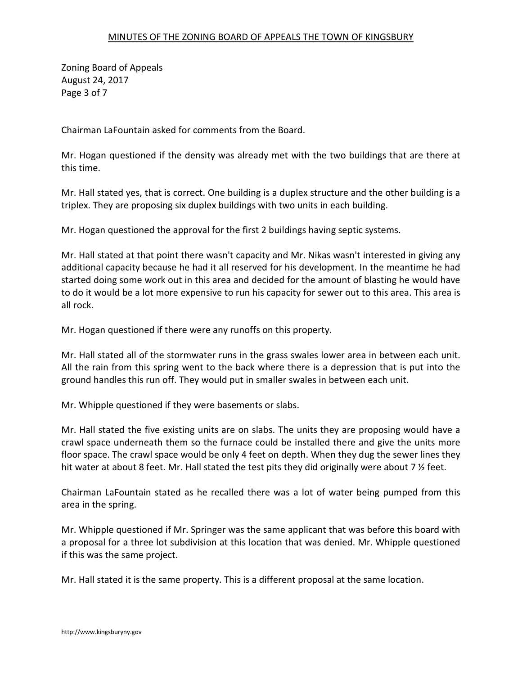Zoning Board of Appeals August 24, 2017 Page 3 of 7

Chairman LaFountain asked for comments from the Board.

Mr. Hogan questioned if the density was already met with the two buildings that are there at this time.

Mr. Hall stated yes, that is correct. One building is a duplex structure and the other building is a triplex. They are proposing six duplex buildings with two units in each building.

Mr. Hogan questioned the approval for the first 2 buildings having septic systems.

Mr. Hall stated at that point there wasn't capacity and Mr. Nikas wasn't interested in giving any additional capacity because he had it all reserved for his development. In the meantime he had started doing some work out in this area and decided for the amount of blasting he would have to do it would be a lot more expensive to run his capacity for sewer out to this area. This area is all rock.

Mr. Hogan questioned if there were any runoffs on this property.

Mr. Hall stated all of the stormwater runs in the grass swales lower area in between each unit. All the rain from this spring went to the back where there is a depression that is put into the ground handles this run off. They would put in smaller swales in between each unit.

Mr. Whipple questioned if they were basements or slabs.

Mr. Hall stated the five existing units are on slabs. The units they are proposing would have a crawl space underneath them so the furnace could be installed there and give the units more floor space. The crawl space would be only 4 feet on depth. When they dug the sewer lines they hit water at about 8 feet. Mr. Hall stated the test pits they did originally were about 7  $\frac{1}{2}$  feet.

Chairman LaFountain stated as he recalled there was a lot of water being pumped from this area in the spring.

Mr. Whipple questioned if Mr. Springer was the same applicant that was before this board with a proposal for a three lot subdivision at this location that was denied. Mr. Whipple questioned if this was the same project.

Mr. Hall stated it is the same property. This is a different proposal at the same location.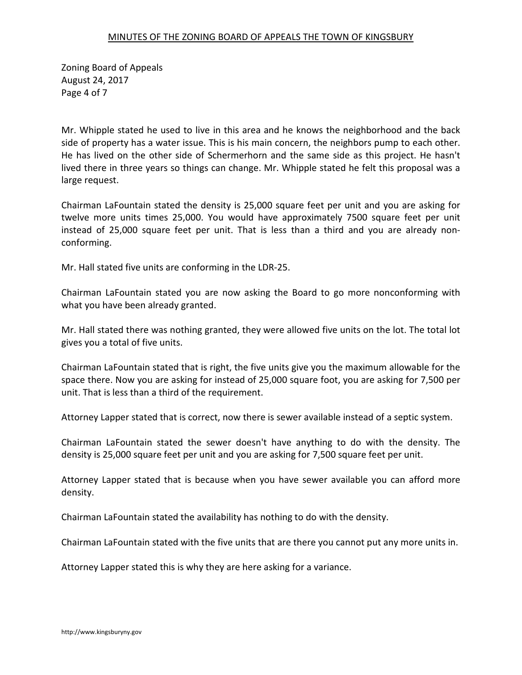Zoning Board of Appeals August 24, 2017 Page 4 of 7

Mr. Whipple stated he used to live in this area and he knows the neighborhood and the back side of property has a water issue. This is his main concern, the neighbors pump to each other. He has lived on the other side of Schermerhorn and the same side as this project. He hasn't lived there in three years so things can change. Mr. Whipple stated he felt this proposal was a large request.

Chairman LaFountain stated the density is 25,000 square feet per unit and you are asking for twelve more units times 25,000. You would have approximately 7500 square feet per unit instead of 25,000 square feet per unit. That is less than a third and you are already nonconforming.

Mr. Hall stated five units are conforming in the LDR-25.

Chairman LaFountain stated you are now asking the Board to go more nonconforming with what you have been already granted.

Mr. Hall stated there was nothing granted, they were allowed five units on the lot. The total lot gives you a total of five units.

Chairman LaFountain stated that is right, the five units give you the maximum allowable for the space there. Now you are asking for instead of 25,000 square foot, you are asking for 7,500 per unit. That is less than a third of the requirement.

Attorney Lapper stated that is correct, now there is sewer available instead of a septic system.

Chairman LaFountain stated the sewer doesn't have anything to do with the density. The density is 25,000 square feet per unit and you are asking for 7,500 square feet per unit.

Attorney Lapper stated that is because when you have sewer available you can afford more density.

Chairman LaFountain stated the availability has nothing to do with the density.

Chairman LaFountain stated with the five units that are there you cannot put any more units in.

Attorney Lapper stated this is why they are here asking for a variance.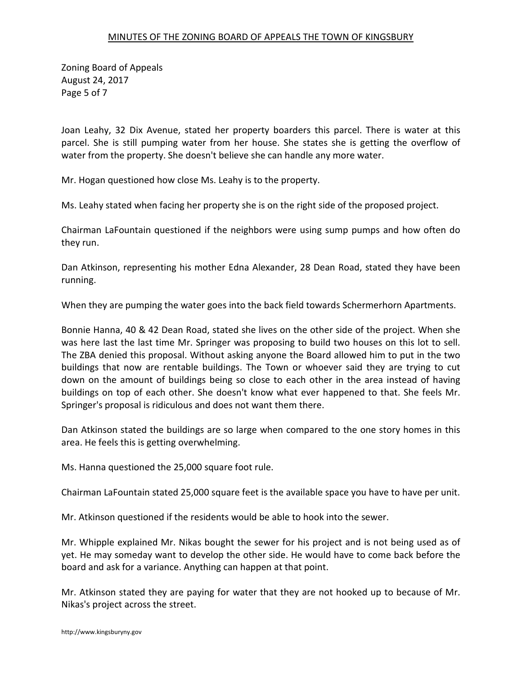Zoning Board of Appeals August 24, 2017 Page 5 of 7

Joan Leahy, 32 Dix Avenue, stated her property boarders this parcel. There is water at this parcel. She is still pumping water from her house. She states she is getting the overflow of water from the property. She doesn't believe she can handle any more water.

Mr. Hogan questioned how close Ms. Leahy is to the property.

Ms. Leahy stated when facing her property she is on the right side of the proposed project.

Chairman LaFountain questioned if the neighbors were using sump pumps and how often do they run.

Dan Atkinson, representing his mother Edna Alexander, 28 Dean Road, stated they have been running.

When they are pumping the water goes into the back field towards Schermerhorn Apartments.

Bonnie Hanna, 40 & 42 Dean Road, stated she lives on the other side of the project. When she was here last the last time Mr. Springer was proposing to build two houses on this lot to sell. The ZBA denied this proposal. Without asking anyone the Board allowed him to put in the two buildings that now are rentable buildings. The Town or whoever said they are trying to cut down on the amount of buildings being so close to each other in the area instead of having buildings on top of each other. She doesn't know what ever happened to that. She feels Mr. Springer's proposal is ridiculous and does not want them there.

Dan Atkinson stated the buildings are so large when compared to the one story homes in this area. He feels this is getting overwhelming.

Ms. Hanna questioned the 25,000 square foot rule.

Chairman LaFountain stated 25,000 square feet is the available space you have to have per unit.

Mr. Atkinson questioned if the residents would be able to hook into the sewer.

Mr. Whipple explained Mr. Nikas bought the sewer for his project and is not being used as of yet. He may someday want to develop the other side. He would have to come back before the board and ask for a variance. Anything can happen at that point.

Mr. Atkinson stated they are paying for water that they are not hooked up to because of Mr. Nikas's project across the street.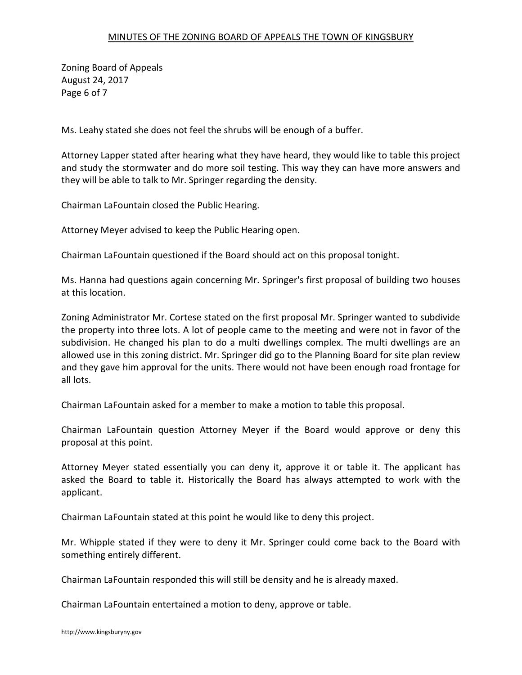Zoning Board of Appeals August 24, 2017 Page 6 of 7

Ms. Leahy stated she does not feel the shrubs will be enough of a buffer.

Attorney Lapper stated after hearing what they have heard, they would like to table this project and study the stormwater and do more soil testing. This way they can have more answers and they will be able to talk to Mr. Springer regarding the density.

Chairman LaFountain closed the Public Hearing.

Attorney Meyer advised to keep the Public Hearing open.

Chairman LaFountain questioned if the Board should act on this proposal tonight.

Ms. Hanna had questions again concerning Mr. Springer's first proposal of building two houses at this location.

Zoning Administrator Mr. Cortese stated on the first proposal Mr. Springer wanted to subdivide the property into three lots. A lot of people came to the meeting and were not in favor of the subdivision. He changed his plan to do a multi dwellings complex. The multi dwellings are an allowed use in this zoning district. Mr. Springer did go to the Planning Board for site plan review and they gave him approval for the units. There would not have been enough road frontage for all lots.

Chairman LaFountain asked for a member to make a motion to table this proposal.

Chairman LaFountain question Attorney Meyer if the Board would approve or deny this proposal at this point.

Attorney Meyer stated essentially you can deny it, approve it or table it. The applicant has asked the Board to table it. Historically the Board has always attempted to work with the applicant.

Chairman LaFountain stated at this point he would like to deny this project.

Mr. Whipple stated if they were to deny it Mr. Springer could come back to the Board with something entirely different.

Chairman LaFountain responded this will still be density and he is already maxed.

Chairman LaFountain entertained a motion to deny, approve or table.